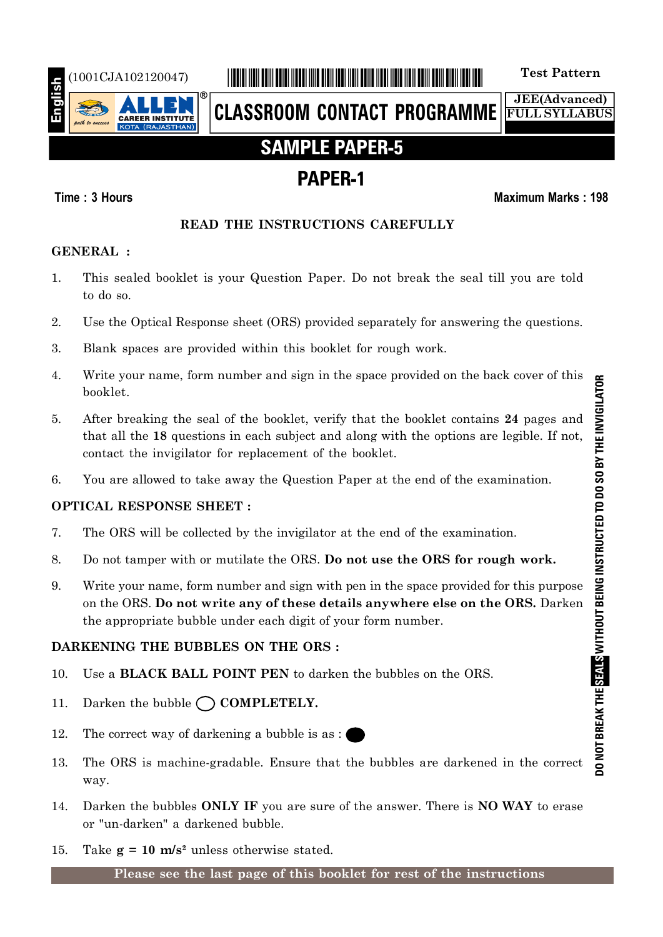

# (1001CJA102120047) \*1001CJA102120047\* **Test Pattern**

**CLASSROOM CONTACT PROGRAMME**

**JEE(Advanced) FULL SYLLABUS**

# **SAMPLE PAPER-5**

# **PAPER-1**

## **Time : 3 Hours Maximum Marks : 198**

## **READ THE INSTRUCTIONS CAREFULLY**

## **GENERAL :**

- 1. This sealed booklet is your Question Paper. Do not break the seal till you are told to do so.
- 2. Use the Optical Response sheet (ORS) provided separately for answering the questions.
- 3. Blank spaces are provided within this booklet for rough work.
- 4. Write your name, form number and sign in the space provided on the back cover of this booklet.
- 5. After breaking the seal of the booklet, verify that the booklet contains **24** pages and that all the **18** questions in each subject and along with the options are legible. If not, contact the invigilator for replacement of the booklet.
- 6. You are allowed to take away the Question Paper at the end of the examination.

# **OPTICAL RESPONSE SHEET :**

- 7. The ORS will be collected by the invigilator at the end of the examination.
- 8. Do not tamper with or mutilate the ORS. **Do not use the ORS for rough work.**
- 9. Write your name, form number and sign with pen in the space provided for this purpose on the ORS. **Do not write any of these details anywhere else on the ORS.** Darken the appropriate bubble under each digit of your form number.

# **DARKENING THE BUBBLES ON THE ORS :**

- 10. Use a **BLACK BALL POINT PEN** to darken the bubbles on the ORS.
- 11. Darken the bubble  $\bigcap$  **COMPLETELY.**
- 12. The correct way of darkening a bubble is as :
- 13. The ORS is machine-gradable. Ensure that the bubbles are darkened in the correct way.
- 14. Darken the bubbles **ONLY IF** you are sure of the answer. There is **NO WAY** to erase or "un-darken" a darkened bubble.
- 15. Take  $g = 10$  m/s<sup>2</sup> unless otherwise stated.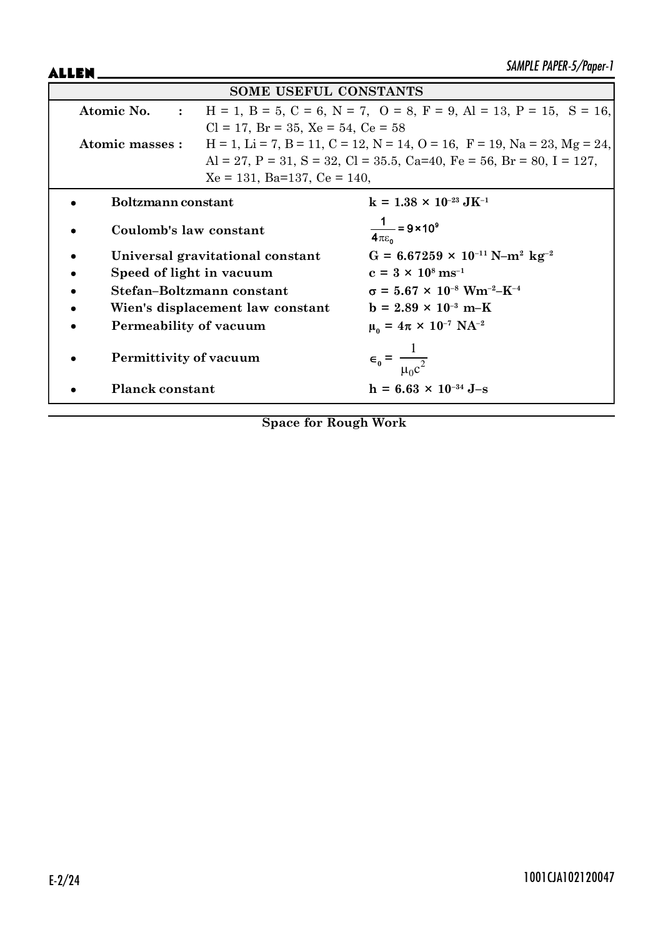ALLEN\_

| <b>SOME USEFUL CONSTANTS</b>     |                                                                                               |                                                                                                     |  |
|----------------------------------|-----------------------------------------------------------------------------------------------|-----------------------------------------------------------------------------------------------------|--|
| Atomic No. :                     | $H = 1$ , $B = 5$ , $C = 6$ , $N = 7$ , $O = 8$ , $F = 9$ , $Al = 13$ , $P = 15$ , $S = 16$ , |                                                                                                     |  |
|                                  | $Cl = 17$ , $Br = 35$ , $Xe = 54$ , $Ce = 58$                                                 |                                                                                                     |  |
| Atomic masses :                  |                                                                                               | $H = 1$ , $Li = 7$ , $B = 11$ , $C = 12$ , $N = 14$ , $O = 16$ , $F = 19$ , $Na = 23$ , $Mg = 24$ , |  |
|                                  |                                                                                               | Al = 27, P = 31, S = 32, Cl = 35.5, Ca=40, Fe = 56, Br = 80, I = 127,                               |  |
|                                  | $Xe = 131$ , Ba=137, Ce = 140,                                                                |                                                                                                     |  |
| Boltzmann constant               |                                                                                               | $k = 1.38 \times 10^{-23} \text{ J} \text{K}^{-1}$                                                  |  |
| Coulomb's law constant           |                                                                                               | $\frac{1}{4\pi\epsilon_0}$ = 9 × 10 <sup>9</sup>                                                    |  |
| Universal gravitational constant |                                                                                               | $G = 6.67259 \times 10^{-11} \text{ N} - \text{m}^2 \text{ kg}^{-2}$                                |  |
| Speed of light in vacuum         |                                                                                               | $c = 3 \times 10^8 \text{ ms}^{-1}$                                                                 |  |
|                                  | Stefan-Boltzmann constant                                                                     | $\sigma = 5.67 \times 10^{-8}$ Wm <sup>-2</sup> -K <sup>-4</sup>                                    |  |
|                                  | Wien's displacement law constant                                                              | $b = 2.89 \times 10^{-3} \text{ m-K}$                                                               |  |
| Permeability of vacuum           |                                                                                               | $\mu_0 = 4\pi \times 10^{-7} \text{ NA}^{-2}$                                                       |  |
| Permittivity of vacuum           |                                                                                               | $\epsilon_0 = \frac{1}{\mu_0 c^2}$                                                                  |  |
| <b>Planck constant</b>           |                                                                                               | $h = 6.63 \times 10^{-34}$ J-s                                                                      |  |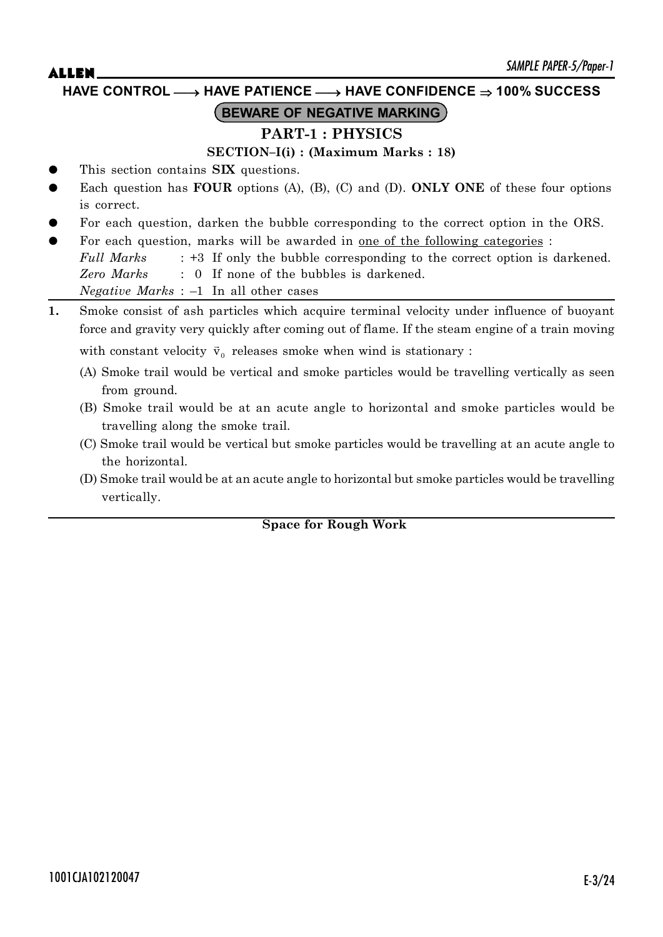**HAVE CONTROL** o **HAVE PATIENCE** o **HAVE CONFIDENCE 100% SUCCESS**

# **BEWARE OF NEGATIVE MARKING**

# **PART-1 : PHYSICS**

## **SECTION–I(i) : (Maximum Marks : 18)**

- This section contains **SIX** questions.
- Each question has **FOUR** options (A), (B), (C) and (D). **ONLY ONE** of these four options is correct.
- For each question, darken the bubble corresponding to the correct option in the ORS.
- For each question, marks will be awarded in <u>one of the following categories</u> :

*Full Marks* : +3 If only the bubble corresponding to the correct option is darkened. *Zero Marks* : 0 If none of the bubbles is darkened. *Negative Marks* : –1 In all other cases

- **1.** Smoke consist of ash particles which acquire terminal velocity under influence of buoyant force and gravity very quickly after coming out of flame. If the steam engine of a train moving with constant velocity  $\vec{v}_0$  releases smoke when wind is stationary :
	- (A) Smoke trail would be vertical and smoke particles would be travelling vertically as seen from ground.
	- (B) Smoke trail would be at an acute angle to horizontal and smoke particles would be travelling along the smoke trail.
	- (C) Smoke trail would be vertical but smoke particles would be travelling at an acute angle to the horizontal.
	- (D) Smoke trail would be at an acute angle to horizontal but smoke particles would be travelling vertically.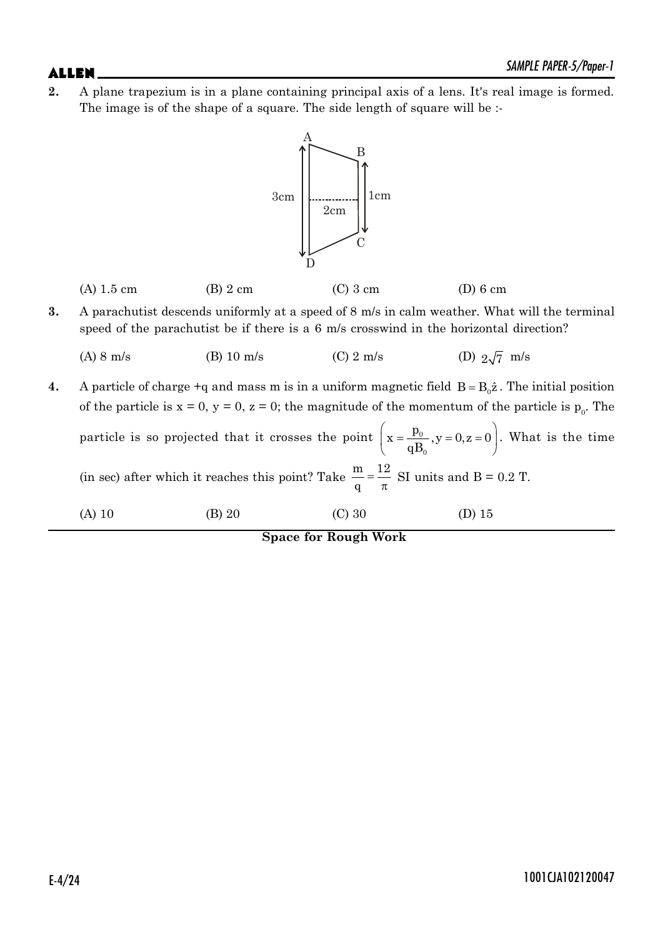**2.** A plane trapezium is in a plane containing principal axis of a lens. It's real image is formed. The image is of the shape of a square. The side length of square will be :-



- **3.** A parachutist descends uniformly at a speed of 8 m/s in calm weather. What will the terminal speed of the parachutist be if there is a 6 m/s crosswind in the horizontal direction?
	- (A) 8 m/s (B) 10 m/s (C) 2 m/s (D)  $2\sqrt{7}$  m/s

**4.** A particle of charge  $+q$  and mass m is in a uniform magnetic field  $B = B_0 \hat{z}$ . The initial position of the particle is  $x = 0$ ,  $y = 0$ ,  $z = 0$ ; the magnitude of the momentum of the particle is  $p_0$ . The

| particle is so projected that it crosses the point $\left(x = \frac{p_0}{qB_0}, y = 0, z = 0\right)$ . What is the time |  |
|-------------------------------------------------------------------------------------------------------------------------|--|
| (in sec) after which it reaches this point? Take $\frac{m}{q} = \frac{12}{\pi}$ SI units and B = 0.2 T.                 |  |

(A) 10 (B) 20 (C) 30 (D) 15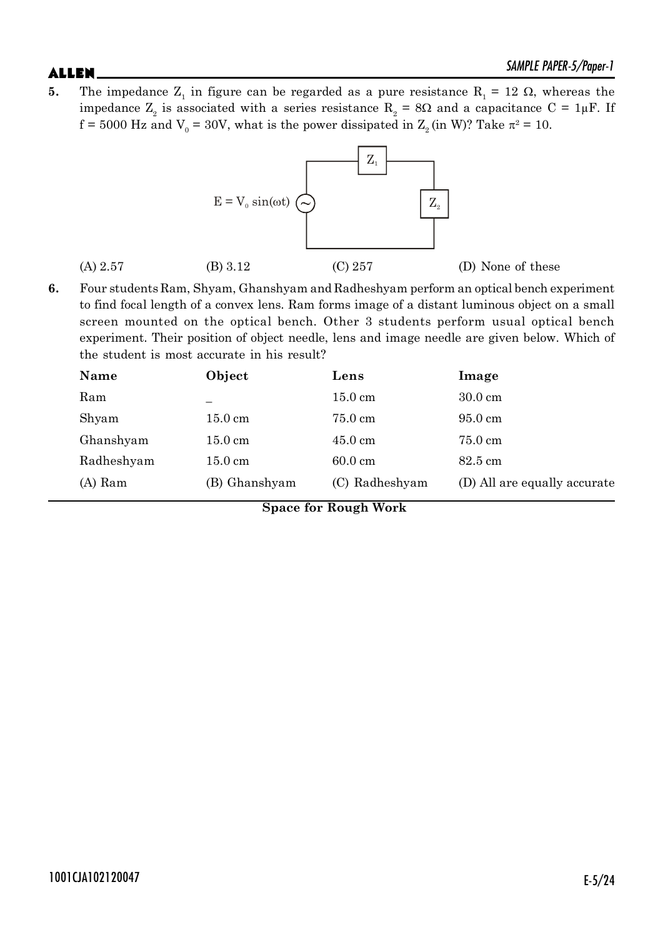**5.** The impedance  $Z_1$  in figure can be regarded as a pure resistance  $R_1 = 12 \Omega$ , whereas the impedance  $Z_2$  is associated with a series resistance  $R_2 = 8\Omega$  and a capacitance C = 1µF. If  $f = 5000$  Hz and  $V_0 = 30V$ , what is the power dissipated in  $Z_2$  (in W)? Take  $\pi^2 = 10$ .



**6.** Four students Ram, Shyam, Ghanshyam and Radheshyam perform an optical bench experiment to find focal length of a convex lens. Ram forms image of a distant luminous object on a small screen mounted on the optical bench. Other 3 students perform usual optical bench experiment. Their position of object needle, lens and image needle are given below. Which of the student is most accurate in his result?

| Name       | Object            | Lens              | Image                        |
|------------|-------------------|-------------------|------------------------------|
| Ram        |                   | $15.0 \text{ cm}$ | $30.0 \text{ cm}$            |
| Shyam      | $15.0 \text{ cm}$ | 75.0 cm           | $95.0 \text{ cm}$            |
| Ghanshyam  | $15.0 \text{ cm}$ | $45.0 \text{ cm}$ | 75.0 cm                      |
| Radheshyam | $15.0 \text{ cm}$ | $60.0 \text{ cm}$ | $82.5 \text{ cm}$            |
| $(A)$ Ram  | (B) Ghanshyam     | (C) Radheshyam    | (D) All are equally accurate |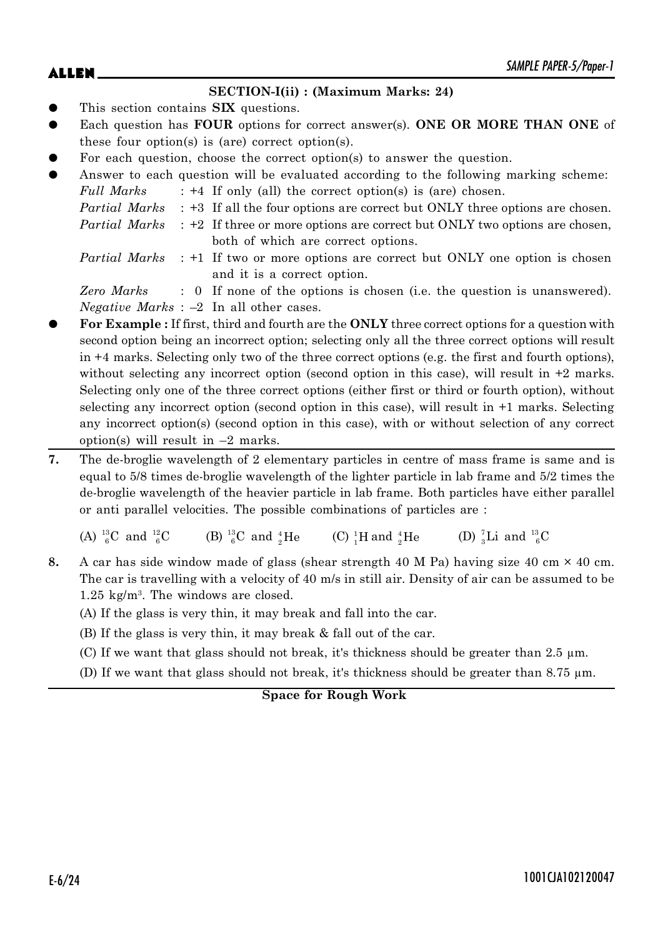# $ALLEN$   $\sum_{M|N|L}$   $PAPEN-3/Proper-1$

### **SECTION-I(ii) : (Maximum Marks: 24)**

- This section contains **SIX** questions.
- Each question has **FOUR** options for correct answer(s). **ONE OR MORE THAN ONE** of these four option(s) is (are) correct option(s).
- For each question, choose the correct option(s) to answer the question.
- Answer to each question will be evaluated according to the following marking scheme:  $F_{\mu\nu}$  *Marks*  $\cdot +4$  If only (all) the correct option(s) is (are) chosen.

| ruu wurks | $\therefore$ $\tau$ 11 only (all) the correct option(s) is (are) chosen.                         |
|-----------|--------------------------------------------------------------------------------------------------|
|           | <i>Partial Marks</i> : +3 If all the four options are correct but ONLY three options are chosen. |

- *Partial Marks* : +2 If three or more options are correct but ONLY two options are chosen,
- both of which are correct options.
- *Partial Marks* : +1 If two or more options are correct but ONLY one option is chosen and it is a correct option.

*Zero Marks* : 0 If none of the options is chosen (i.e. the question is unanswered). *Negative Marks* : –2 In all other cases.

- z **For Example :** If first, third and fourth are the **ONLY** three correct options for a question with second option being an incorrect option; selecting only all the three correct options will result in +4 marks. Selecting only two of the three correct options (e.g. the first and fourth options), without selecting any incorrect option (second option in this case), will result in  $+2$  marks. Selecting only one of the three correct options (either first or third or fourth option), without selecting any incorrect option (second option in this case), will result in +1 marks. Selecting any incorrect option(s) (second option in this case), with or without selection of any correct option(s) will result in  $-2$  marks.
- **7.** The de-broglie wavelength of 2 elementary particles in centre of mass frame is same and is equal to 5/8 times de-broglie wavelength of the lighter particle in lab frame and 5/2 times the de-broglie wavelength of the heavier particle in lab frame. Both particles have either parallel or anti parallel velocities. The possible combinations of particles are :

(A)  $^{13}_{6}$ C and  $^{12}_{6}$  ${}^{2}_{6}$ C (B)  ${}^{13}_{6}$ C and  ${}^{4}_{2}$ He (C)  ${}^{1}_{1}$ H and  ${}^{4}_{2}$  $^{4}_{2}$ He (D)  $^{7}_{3}$ Li and  $^{13}_{6}$ C

**8.** A car has side window made of glass (shear strength 40 M Pa) having size 40 cm  $\times$  40 cm. The car is travelling with a velocity of 40 m/s in still air. Density of air can be assumed to be 1.25 kg/m<sup>3</sup> . The windows are closed.

(A) If the glass is very thin, it may break and fall into the car.

- (B) If the glass is very thin, it may break & fall out of the car.
- (C) If we want that glass should not break, it's thickness should be greater than 2.5  $\mu$ m.
- (D) If we want that glass should not break, it's thickness should be greater than 8.75 µm.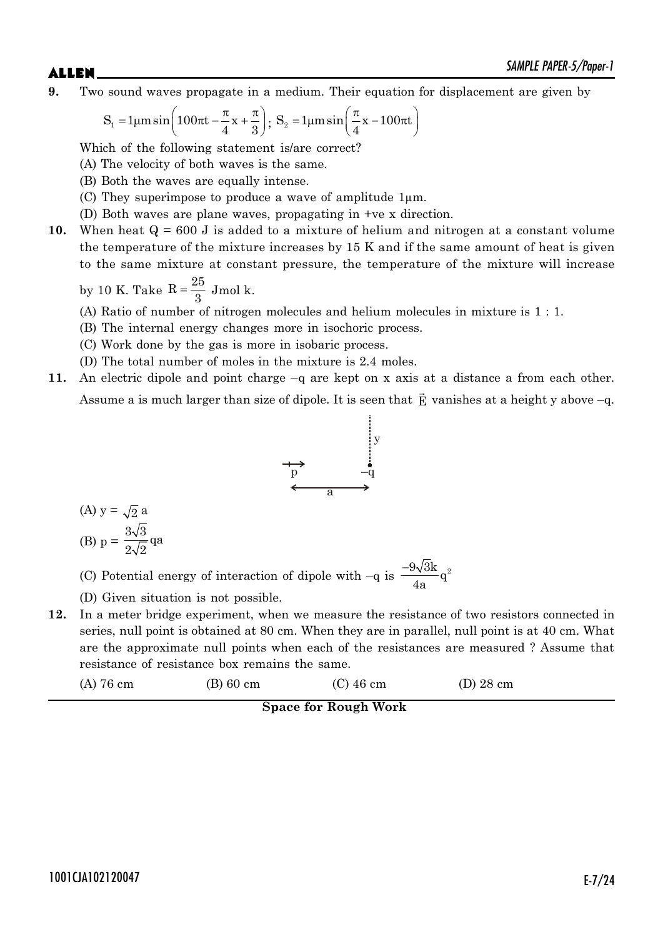**9.** Two sound waves propagate in a medium. Their equation for displacement are given by

$$
S_1 = 1\mu m \sin\left(100\pi t - \frac{\pi}{4}x + \frac{\pi}{3}\right); S_2 = 1\mu m \sin\left(\frac{\pi}{4}x - 100\pi t\right)
$$

Which of the following statement is/are correct?

(A) The velocity of both waves is the same.

- (B) Both the waves are equally intense.
- (C) They superimpose to produce a wave of amplitude  $1\mu$ m.
- (D) Both waves are plane waves, propagating in +ve x direction.
- **10.** When heat  $Q = 600$  J is added to a mixture of helium and nitrogen at a constant volume the temperature of the mixture increases by 15 K and if the same amount of heat is given to the same mixture at constant pressure, the temperature of the mixture will increase

by 10 K. Take 
$$
R = \frac{25}{3}
$$
 Jmol k.

- (A) Ratio of number of nitrogen molecules and helium molecules in mixture is 1 : 1.
- (B) The internal energy changes more in isochoric process.
- (C) Work done by the gas is more in isobaric process.
- (D) The total number of moles in the mixture is 2.4 moles.
- **11.** An electric dipole and point charge –q are kept on x axis at a distance a from each other. Assume a is much larger than size of dipole. It is seen that  $\vec{\textbf{E}}$  vanishes at a height y above –q.



(A) 
$$
y = \sqrt{2} a
$$
  
\n(B)  $p = \frac{3\sqrt{3}}{2\sqrt{2}} qa$ 

(C) Potential energy of interaction of dipole with  $-q$  is  $\frac{-9\sqrt{3}k}{4}q^2$ 4a  $\overline{a}$ 

- (D) Given situation is not possible.
- **12.** In a meter bridge experiment, when we measure the resistance of two resistors connected in series, null point is obtained at 80 cm. When they are in parallel, null point is at 40 cm. What are the approximate null points when each of the resistances are measured ? Assume that resistance of resistance box remains the same.

| $(A)$ 76 cm | $(B)$ 60 cm | $(C)$ 46 cm | $(D)$ 28 cm |
|-------------|-------------|-------------|-------------|
|-------------|-------------|-------------|-------------|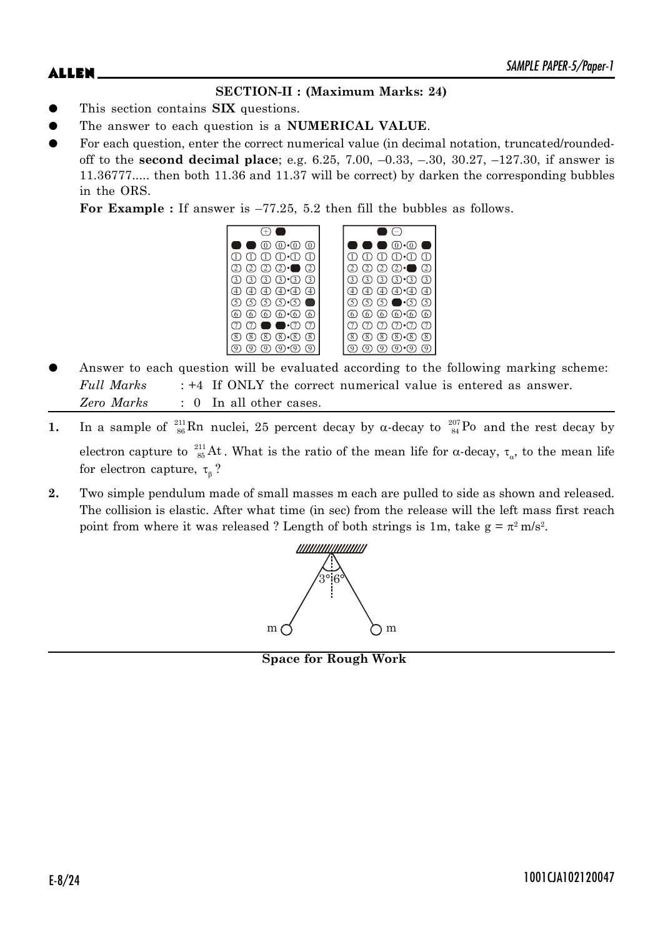# **SECTION-II : (Maximum Marks: 24)**

- This section contains **SIX** questions.
- The answer to each question is a **NUMERICAL VALUE**.
- For each question, enter the correct numerical value (in decimal notation, truncated/roundedoff to the **second decimal place**; e.g. 6.25, 7.00, –0.33, –.30, 30.27, –127.30, if answer is 11.36777..... then both 11.36 and 11.37 will be correct) by darken the corresponding bubbles in the ORS.

**For Example :** If answer is –77.25, 5.2 then fill the bubbles as follows.

|                                                                                 | $(0) \cdot (0)$                                                      |
|---------------------------------------------------------------------------------|----------------------------------------------------------------------|
| $\textcircled{1}$ $\textcircled{1}$ $\textcircled{1}$ $\textcircled{1}$         | $\textcircled{1} \oplus \textcircled{1} \oplus \textcircled{1}$      |
| $(2)$ $(2)$ $(2)$ $\cdot$<br>$\bigcirc$ $\bigcirc$                              | $\circled{2}$<br>(2)<br>$\sigma$<br>$\overline{2}$<br>a a s          |
| $(3)$ $(3)$ $(3)$ $(3)$                                                         | $(3) \cdot (3)$<br>3)<br>$\sqrt{3}$                                  |
| $\textcircled{4}$ $\textcircled{4}$ $\cdot$ $\textcircled{4}$ $\textcircled{4}$ | $\textcircled{4}$ $\textcircled{4}$ $\cdot$ $\textcircled{4}$<br>(4) |
| டு டு டு டு <b>-</b> டு <b>—</b>                                                | $\circledcirc$ $\bullet$ $\circledcirc$ $\circledcirc$<br>$\circ$    |
| 6 6 6 6 6 6                                                                     | $\circledcirc$ $\circledcirc$ $\circledcirc$<br>6<br>6               |
| $\cdot$ $\tau$<br>$\left( \overline{7} \right)$                                 | $(7) \cdot (7)$                                                      |
| $(8)$ $(8)$ $(8)$<br>(8)<br>$\overline{\mathcal{E}}$                            | (8)<br>$\overline{\mathcal{E}}$<br>(8)<br>8                          |
|                                                                                 |                                                                      |

- Answer to each question will be evaluated according to the following marking scheme: *Full Marks* : +4 If ONLY the correct numerical value is entered as answer. *Zero Marks* : 0 In all other cases.
- **1.** In a sample of  $^{211}_{86}$ Rn nuclei, 25 percent decay by  $\alpha$ -decay to  $^{207}_{84}$ Po and the rest decay by electron capture to  $\frac{211}{85}$ At. What is the ratio of the mean life for  $\alpha$ -decay,  $\tau_{\alpha}$ , to the mean life for electron capture,  $\tau_{\beta}$ ?
- **2.** Two simple pendulum made of small masses m each are pulled to side as shown and released. The collision is elastic. After what time (in sec) from the release will the left mass first reach point from where it was released ? Length of both strings is 1m, take  $g = \pi^2 m/s^2$ .



**Space for Rough Work**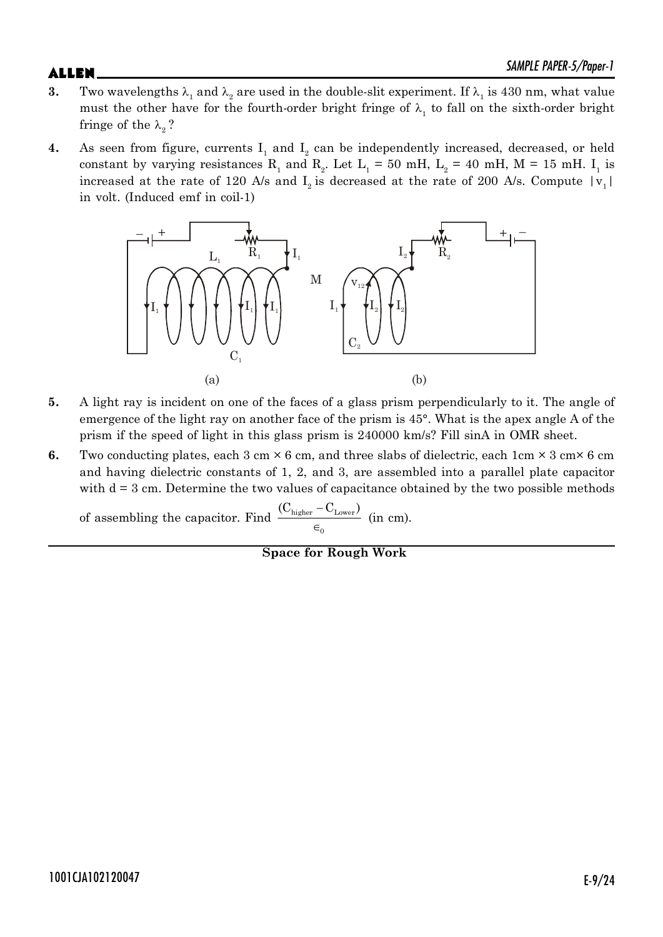- **3.** Two wavelengths  $\lambda_1$  and  $\lambda_2$  are used in the double-slit experiment. If  $\lambda_1$  is 430 nm, what value must the other have for the fourth-order bright fringe of  $\lambda_1$  to fall on the sixth-order bright fringe of the  $\lambda$ <sub>2</sub>?
- **4.** As seen from figure, currents  $I_1$  and  $I_2$  can be independently increased, decreased, or held constant by varying resistances R<sub>1</sub> and R<sub>2</sub>. Let L<sub>1</sub> = 50 mH, L<sub>2</sub> = 40 mH, M = 15 mH. I<sub>1</sub> is increased at the rate of 120 A/s and  $I_2$  is decreased at the rate of 200 A/s. Compute  $|v_1|$ in volt. (Induced emf in coil-1)



- **5.** A light ray is incident on one of the faces of a glass prism perpendicularly to it. The angle of emergence of the light ray on another face of the prism is 45°. What is the apex angle A of the prism if the speed of light in this glass prism is 240000 km/s? Fill sinA in OMR sheet.
- **6.** Two conducting plates, each  $3 \text{ cm} \times 6 \text{ cm}$ , and three slabs of dielectric, each  $1 \text{ cm} \times 3 \text{ cm} \times 6 \text{ cm}$ and having dielectric constants of 1, 2, and 3, are assembled into a parallel plate capacitor with  $d = 3$  cm. Determine the two values of capacitance obtained by the two possible methods

of assembling the capacitor. Find  $\frac{C_{higher} - C_{Lower}}{C_{other}}$ 0  $(C_{\text{higher}} - C_{\text{Lower}})$  $\frac{1}{\epsilon_0}$  (in cm).

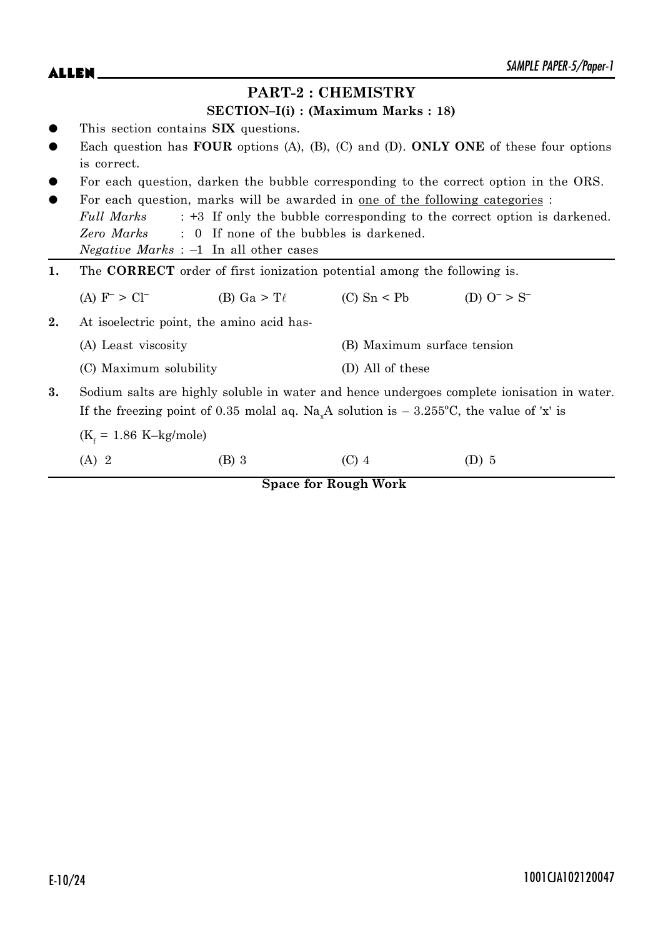|    |                                                                                            |                                                                                      |                                      | SAMPLE PAPER-5/Paper-1                                                                                 |
|----|--------------------------------------------------------------------------------------------|--------------------------------------------------------------------------------------|--------------------------------------|--------------------------------------------------------------------------------------------------------|
|    |                                                                                            |                                                                                      | <b>PART-2: CHEMISTRY</b>             |                                                                                                        |
|    |                                                                                            |                                                                                      | $SECTION-I(i) : (Maximum Marks: 18)$ |                                                                                                        |
|    |                                                                                            | This section contains SIX questions.                                                 |                                      |                                                                                                        |
|    |                                                                                            |                                                                                      |                                      | Each question has <b>FOUR</b> options (A), (B), (C) and (D). <b>ONLY ONE</b> of these four options     |
|    | is correct.                                                                                |                                                                                      |                                      |                                                                                                        |
|    |                                                                                            |                                                                                      |                                      | For each question, darken the bubble corresponding to the correct option in the ORS.                   |
|    |                                                                                            | For each question, marks will be awarded in <u>one of the following categories</u> : |                                      |                                                                                                        |
|    | Full Marks                                                                                 |                                                                                      |                                      | : +3 If only the bubble corresponding to the correct option is darkened.                               |
|    | Zero Marks                                                                                 | : 0 If none of the bubbles is darkened.                                              |                                      |                                                                                                        |
|    |                                                                                            | <i>Negative Marks</i> : $-1$ In all other cases                                      |                                      |                                                                                                        |
| 1. | The <b>CORRECT</b> order of first ionization potential among the following is.             |                                                                                      |                                      |                                                                                                        |
|    | (A) $F^{-} > Cl^{-}$                                                                       | (B) Ga > T $\ell$                                                                    | $(C)$ Sn < Pb                        | (D) $O^- > S^-$                                                                                        |
| 2. |                                                                                            | At isoelectric point, the amino acid has-                                            |                                      |                                                                                                        |
|    | (A) Least viscosity                                                                        |                                                                                      | (B) Maximum surface tension          |                                                                                                        |
|    | (C) Maximum solubility                                                                     |                                                                                      | (D) All of these                     |                                                                                                        |
| 3. | Sodium salts are highly soluble in water and hence undergoes complete ionisation in water. |                                                                                      |                                      |                                                                                                        |
|    |                                                                                            |                                                                                      |                                      | If the freezing point of 0.35 molal aq. Na <sub>x</sub> A solution is $-$ 3.255°C, the value of 'x' is |
|    | $(K_f = 1.86 \text{ K–kg/mole})$                                                           |                                                                                      |                                      |                                                                                                        |
|    | $(A)$ 2                                                                                    | (B) 3                                                                                | $(C)$ 4                              | $(D)$ 5                                                                                                |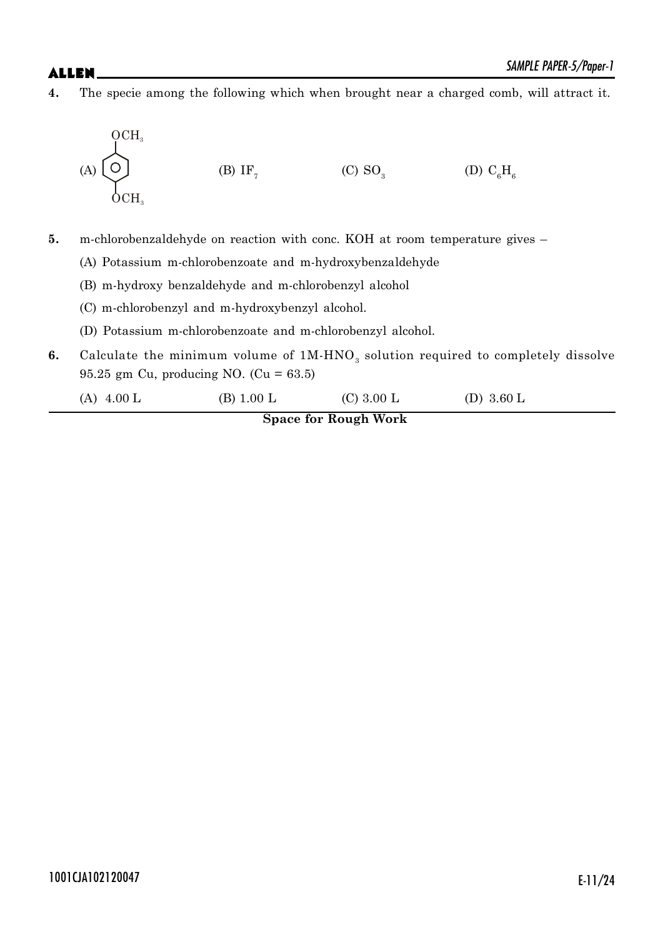**4.** The specie among the following which when brought near a charged comb, will attract it.

$$
(A) \begin{array}{c}\n\bigodot \\
\bigodot \\
\bigodot \\
\text{OCH}_3\n\end{array}
$$
\n
$$
(B) IF_7
$$
\n
$$
(C) SO_3
$$
\n
$$
(D) C_6H_6
$$

**5.** m-chlorobenzaldehyde on reaction with conc. KOH at room temperature gives –

- (A) Potassium m-chlorobenzoate and m-hydroxybenzaldehyde
- (B) m-hydroxy benzaldehyde and m-chlorobenzyl alcohol
- (C) m-chlorobenzyl and m-hydroxybenzyl alcohol.
- (D) Potassium m-chlorobenzoate and m-chlorobenzyl alcohol.
- **6.** Calculate the minimum volume of  $1M-HNO<sub>3</sub>$  solution required to completely dissolve 95.25 gm Cu, producing NO. (Cu = 63.5)
	- (A)  $4.00 \text{ L}$  (B)  $1.00 \text{ L}$  (C)  $3.00 \text{ L}$  (D)  $3.60 \text{ L}$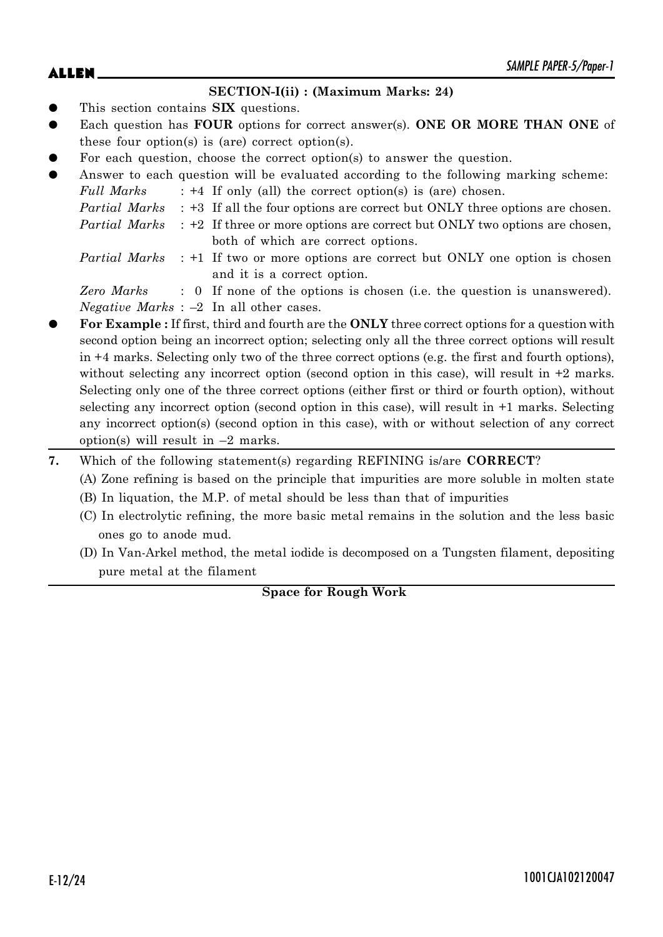# $ALLEN$   $\sum_{M|N|L}$   $PAPEN-3/Proper-1$

### **SECTION-I(ii) : (Maximum Marks: 24)**

- This section contains **SIX** questions.
- Each question has **FOUR** options for correct answer(s). **ONE OR MORE THAN ONE** of these four option(s) is (are) correct option(s).
- For each question, choose the correct option(s) to answer the question.
- Answer to each question will be evaluated according to the following marking scheme:

| <b>Full Marks</b> |  |  | $: +4$ If only (all) the correct option(s) is (are) chosen. |
|-------------------|--|--|-------------------------------------------------------------|
|                   |  |  |                                                             |

- *Partial Marks* : +3 If all the four options are correct but ONLY three options are chosen.
- *Partial Marks* : +2 If three or more options are correct but ONLY two options are chosen, both of which are correct options.
- *Partial Marks* : +1 If two or more options are correct but ONLY one option is chosen and it is a correct option.

*Zero Marks* : 0 If none of the options is chosen (i.e. the question is unanswered). *Negative Marks* : –2 In all other cases.

- z **For Example :** If first, third and fourth are the **ONLY** three correct options for a question with second option being an incorrect option; selecting only all the three correct options will result in +4 marks. Selecting only two of the three correct options (e.g. the first and fourth options), without selecting any incorrect option (second option in this case), will result in  $+2$  marks. Selecting only one of the three correct options (either first or third or fourth option), without selecting any incorrect option (second option in this case), will result in +1 marks. Selecting any incorrect option(s) (second option in this case), with or without selection of any correct option(s) will result in  $-2$  marks.
- **7.** Which of the following statement(s) regarding REFINING is/are **CORRECT**?
	- (A) Zone refining is based on the principle that impurities are more soluble in molten state
	- (B) In liquation, the M.P. of metal should be less than that of impurities
	- (C) In electrolytic refining, the more basic metal remains in the solution and the less basic ones go to anode mud.
	- (D) In Van-Arkel method, the metal iodide is decomposed on a Tungsten filament, depositing pure metal at the filament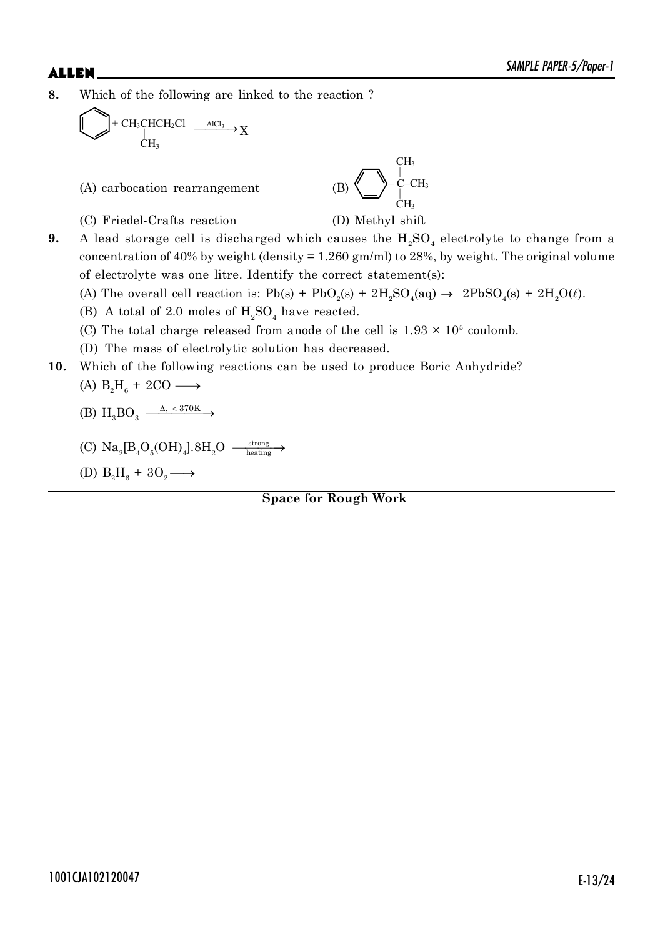**8.** Which of the following are linked to the reaction ?

$$
\bigcup_{CH_3} + CH_3CHCH_2Cl \xrightarrow{AIC1_3} X
$$

(A) carbocation rearrangement

$$
\displaystyle\left.\left.\left(B\right)\right.\right\vert\left.\left\langle\right.\right\vert\left.\left\langle\right.\right.\right\vert\left.\left\langle\right.\right\vert\left.\left\langle\right.\right.\right\vert\left.\left\langle\right.\right\vert\left.\left\langle\right.\right.\right\vert\left.\left\langle\right.\right\vert\left.\left\langle\right.\right.\right\vert\left.\left\langle\right.\right\vert\left.\left\langle\right.\right.\right\vert\left.\left\langle\right.\right.\left\langle\right.\right\vert\left.\left\langle\right.\right.\right\vert\left.\left\langle\right.\right\vert\left.\left\langle\right.\right.\right\vert\left.\left\langle\right.\right.\left\langle\right.\right\vert\left.\left\langle\right.\right.\right\vert\left.\left\langle\right.\right.\right\vert\left.\left\langle\right.\right.\right\vert\left.\left\langle\right.\right.\left\langle\right.\right\vert\left.\left\langle\right.\right.\right\vert\left.\left\langle\right.\right.\right\vert\left.\left\langle\right.\right.\left\langle\right.\right\vert\left.\left\langle\right.\right\vert\left.\left\langle\right.\right\vert\left.\right\vert\left.\left\langle\right.\right.\right\vert\left.\left\langle\right.\right\vert\left.\right\vert\left.\left\langle\right.\right.\right\vert\left.\left\langle\right.\right.\right\vert\left.\left\langle\right.\right.\right\vert\left.\left\langle\right.\right.\right\vert\left.\left\langle\right.\right.\right\vert\left.\left\langle\right.\right.\right\vert\left.\left\langle\right.\right\vert\left.\left\langle\right.\right.\right\vert\left.\left\langle\right.\right.\right\vert\left.\left\langle\right.\right\vert\left.\left\langle\right.\right.\right\vert\left.\left\langle\right.\right\vert\left.\left\langle\right.\right.\right\vert\left.\left\langle\right.\right.\right\vert\left.\left\langle\right.\right\vert\left.\right\vert\left.\left\langle\right.\right.\right\vert\left.\left\langle\right.\right.\right\vert\left.\left\langle\right.\right\vert\left.\left\langle\right.\right.\right\vert\left.\left\langle\right.\right.\right\vert\left.\left\langle\right.\right.\right\vert\left.\left\langle\right.\right.\right\vert\left.\left\langle\right.\right.\right\vert\left.\left\langle\right.\right\vert\left.\left\langle\right.\right.\right\vert\left.\left\langle\right.\right.\right\vert\left
$$

(C) Friedel-Crafts reaction (D) Methyl shift

**9.** A lead storage cell is discharged which causes the  $H_2SO_4$  electrolyte to change from a concentration of 40% by weight (density  $= 1.260$  gm/ml) to 28%, by weight. The original volume of electrolyte was one litre. Identify the correct statement(s):

(A) The overall cell reaction is:  $Pb(s) + PbO_2(s) + 2H_2SO_4(aq) \rightarrow 2PbSO_4(s) + 2H_2O(\ell)$ .

- (B) A total of 2.0 moles of  $H_2SO_4$  have reacted.
- (C) The total charge released from anode of the cell is  $1.93 \times 10^5$  coulomb.
- (D) The mass of electrolytic solution has decreased.
- **10.** Which of the following reactions can be used to produce Boric Anhydride?

$$
(A) B2H6 + 2CO \longrightarrow
$$

$$
(B) H3 BO3 \xrightarrow{\Delta, < 370K} \rightarrow
$$

(C) 
$$
Na_2[B_4O_5(OH)_4].8H_2O \xrightarrow{\text{strong}}
$$

(D) 
$$
B_2H_6 + 3O_2 \longrightarrow
$$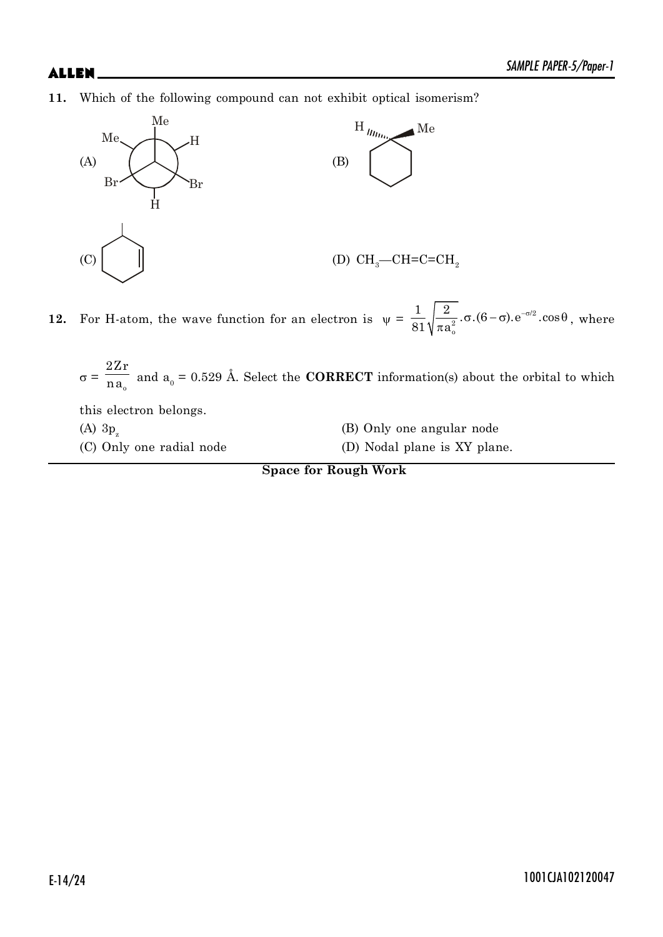**11.** Which of the following compound can not exhibit optical isomerism?



**12.** For H-atom, the wave function for an electron is  $\psi = \frac{1}{\omega_1} \sqrt{\frac{2}{\omega_2} \cdot \sigma \cdot (6 - \sigma)} \cdot e^{-\sigma/2}$ 2 o  $\frac{1}{2}$   $\frac{2}{\sqrt{2}}$  .  $\sigma$   $(6-\sigma)$  .  $e^{-\sigma/2}$  .  $\cos$  $81$  $\sqrt{\pi a}$  $\sigma$ . $(6-\sigma)$ .  $e^{-\sigma/2}$ .  $\cos\theta$ .  $\frac{1}{\pi a_{\circ}^2}$ .  $\sigma$ .  $(6-\sigma)$ .  $e^{-\sigma/2}$ .  $\cos\theta$ , where

 $\sigma = \frac{1}{n a_0}$  $2Zr$  $\overline{\text{na}}_0$  and  $\overline{\text{a}}_0 = 0.529$  Å. Select the **CORRECT** information(s) about the orbital to which

this electron belongs. (A)  $3p_z$ 

(B) Only one angular node

(C) Only one radial node (D) Nodal plane is XY plane.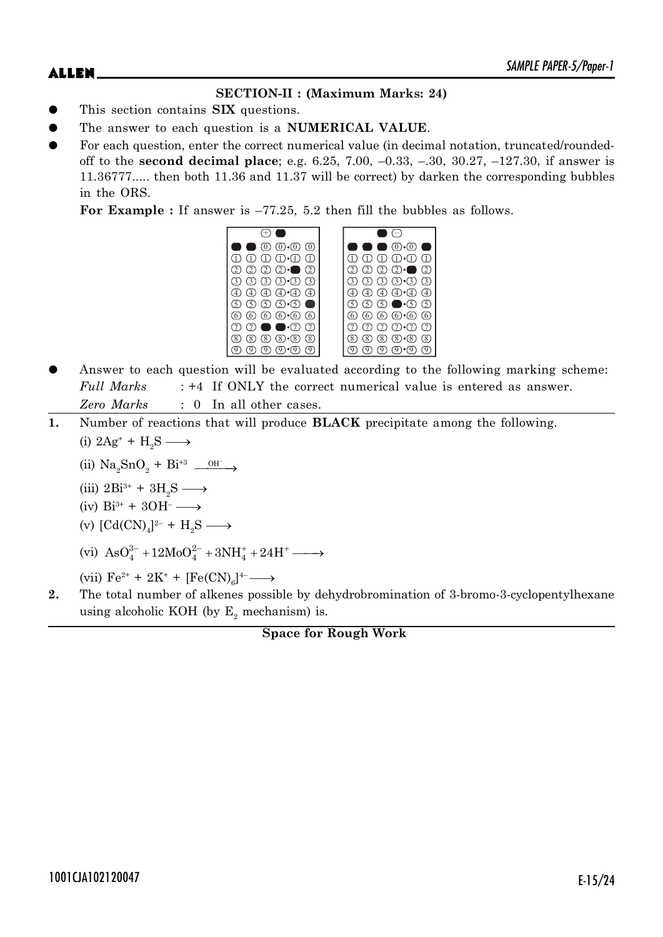# **SECTION-II : (Maximum Marks: 24)**

- This section contains **SIX** questions.
- The answer to each question is a **NUMERICAL VALUE**.
- For each question, enter the correct numerical value (in decimal notation, truncated/roundedoff to the **second decimal place**; e.g. 6.25, 7.00, –0.33, –.30, 30.27, –127.30, if answer is 11.36777..... then both 11.36 and 11.37 will be correct) by darken the corresponding bubbles in the ORS.

**For Example :** If answer is –77.25, 5.2 then fill the bubbles as follows.

| $(0)$ $(0)$ $(0)$ $(0)$            | $(0)$ $\cdot$ $(0)$                                                    |
|------------------------------------|------------------------------------------------------------------------|
| $(1)$ $(1)$ $(1)$                  | (T)<br>$\overline{1}\cdot\overline{1}$                                 |
| $(2)$ $(2)$ $\cdot$<br>(2)<br>(2)  | $\circled{2}$<br>$\left( 2\right)$<br>$(2) \cdot$<br>ر2.               |
| $(3)$ $(3)$ $(3)$ $(3)$ $(3)$      | $(3)$ $(3)$ $(3)$ $(3)$ $(3)$<br>(3)                                   |
| $(4)$ $(4)$ $(4)$ $(4)$            | $(4) \cdot (4)$<br>$\circled{4}$                                       |
|                                    | $\circled{5}$<br>$\bullet$ (5) (5)<br>$\mathfrak{D}$ .                 |
| 6 6 6 6 6 6<br>6                   | $\circledcirc$ $\circledcirc$ $\circledcirc$<br>(6)<br>$\underline{6}$ |
| $\cdot$ (7)<br>(7)                 | (7)<br>$(7) \cdot (7)$<br>(7)<br>(7)                                   |
| (8)<br>8)<br>$\binom{8}{ }$<br>(8) | (8)<br>$\overline{8}$<br>$\overline{8}$                                |
|                                    |                                                                        |

- Answer to each question will be evaluated according to the following marking scheme: *Full Marks* : +4 If ONLY the correct numerical value is entered as answer. *Zero Marks* : 0 In all other cases.
- **1.** Number of reactions that will produce **BLACK** precipitate among the following. (i)  $2\text{Ag}^+ + \text{H}_2\text{S} \longrightarrow$ 
	- (ii)  $\text{Na}_2\text{SnO}_2 + \text{Bi}^{+3} \longrightarrow$
	- (iii)  $2\text{Bi}^{3+} + 3\text{H}_2\text{S} \longrightarrow$
	- (iv)  $Bi^{3+} + 3OH^{-} \longrightarrow$
	- (v)  $[\text{Cd(CN)}_4]^{2-} + \text{H}_2\text{S} \longrightarrow$
	- (vi)  $\text{AsO}_4^{3-} + 12\text{MoO}_4^{2-} + 3\text{NH}_4^+ + 24\text{H}^+ \longrightarrow$

(vii)  $\text{Fe}^{2+} + 2\text{K}^+ + [\text{Fe(CN)}_6]^{4-} \longrightarrow$ 

**2.** The total number of alkenes possible by dehydrobromination of 3-bromo-3-cyclopentylhexane using alcoholic KOH (by  $E_z$  mechanism) is.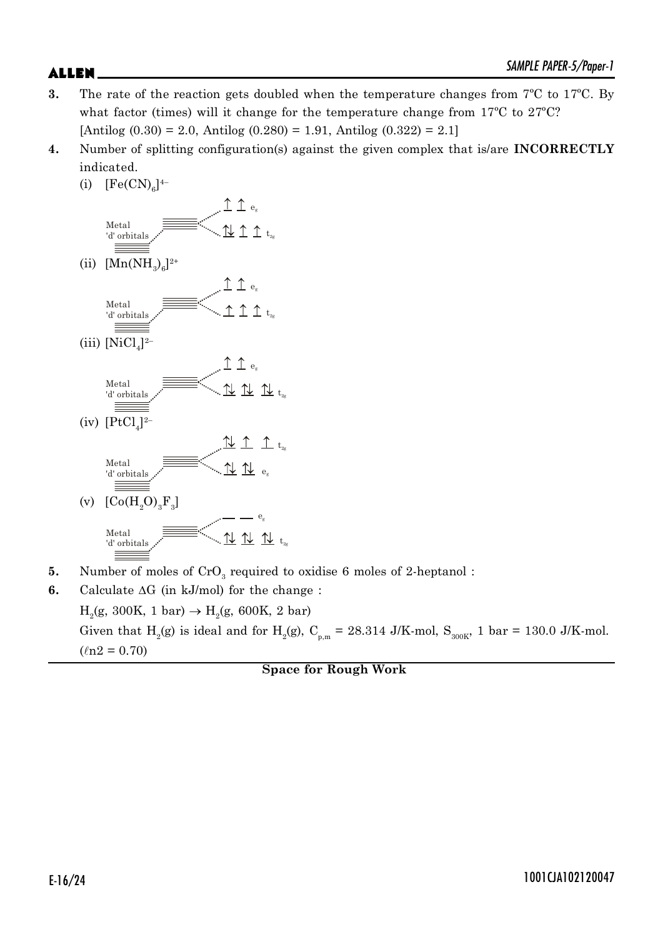- 
- **3.** The rate of the reaction gets doubled when the temperature changes from 7ºC to 17ºC. By what factor (times) will it change for the temperature change from 17ºC to 27ºC? [Antilog  $(0.30) = 2.0$ , Antilog  $(0.280) = 1.91$ , Antilog  $(0.322) = 2.1$ ]
- **4.** Number of splitting configuration(s) against the given complex that is/are **INCORRECTLY** indicated.
	- (i)  $[Fe(CN)<sub>6</sub>]^{4-}$



- (v)  $[Co(H_2O)_3F_3]$ Metal 'd' orbitals  $e_{\rm g}$  $11$   $11$   $12$   $13$
- **5.** Number of moles of CrO<sub>3</sub> required to oxidise 6 moles of 2-heptanol:
- **6.** Calculate  $\Delta G$  (in kJ/mol) for the change :  $H_2(g, 300K, 1 bar) \to H_2(g, 600K, 2 bar)$ Given that H<sub>2</sub>(g) is ideal and for H<sub>2</sub>(g), C<sub>p,m</sub> = 28.314 J/K-mol, S<sub>300K</sub>, 1 bar = 130.0 J/K-mol.  $(\ln 2 = 0.70)$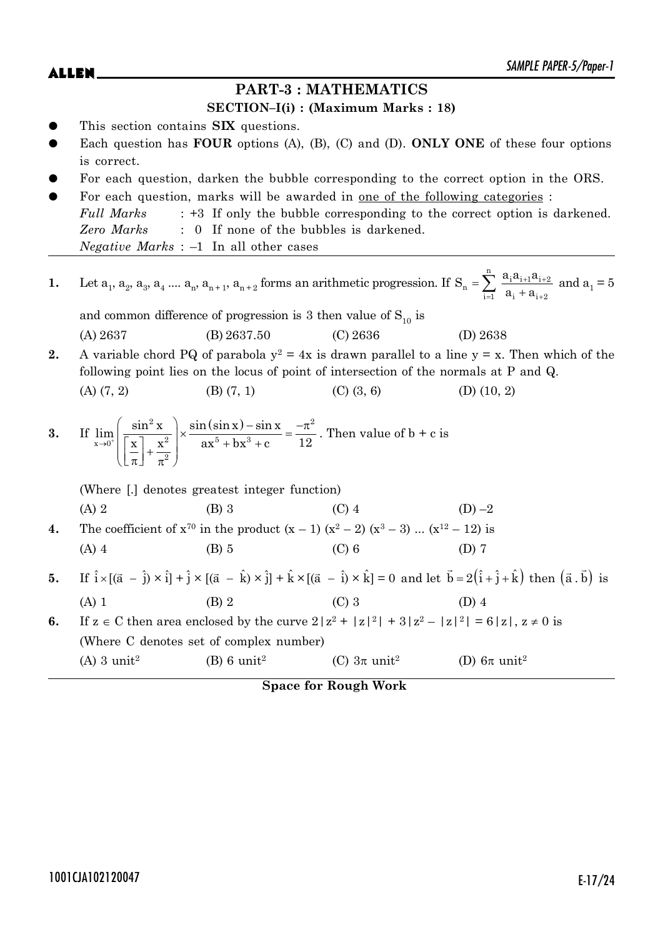# **PART-3 : MATHEMATICS**

### **SECTION–I(i) : (Maximum Marks : 18)**

- This section contains **SIX** questions.
- Each question has **FOUR** options (A), (B), (C) and (D). **ONLY ONE** of these four options is correct.
- For each question, darken the bubble corresponding to the correct option in the ORS.
- For each question, marks will be awarded in <u>one of the following categories</u> : *Full Marks* : +3 If only the bubble corresponding to the correct option is darkened. *Zero Marks* : 0 If none of the bubbles is darkened. *Negative Marks* : –1 In all other cases

\n- 1. Let 
$$
a_1, a_2, a_3, a_4, \ldots, a_n, a_{n+1}, a_{n+2}
$$
 forms an arithmetic progression. If  $S_n = \sum_{i=1}^n \frac{a_i a_{i+1} a_{i+2}}{a_i + a_{i+2}}$  and  $a_1 = 5$  and common difference of progression is 3 then value of  $S_{10}$  is\n
	\n- (A) 2637
	\n- (B) 2637.50
	\n- (C) 2636
	\n- (D) 2638
	\n\n
\n- 2. A variable chord PQ of parabola  $y^2 = 4x$  is drawn parallel to a line  $y = x$ . Then which of the following point lies on the locus of point of intersection of the normals at P and Q.
\n- (A) (7, 2)
\n- (B) (7, 1)
\n- (C) (3, 6)
\n- (D) (10, 2)
\n
\n\n- 3. If  $\lim_{x \to 0^+} \left( \frac{\sin^2 x}{\left[\frac{x}{\pi}\right] + \frac{x^2}{\pi^2}} \right) \times \frac{\sin(\sin x) - \sin x}{ax^5 + bx^3 + c} = \frac{-\pi^2}{12}$ . Then value of  $b + c$  is\n
	\n- (Where  $[.]$  denotes greatest integer function)
	\n- (A) 2
	\n- (B) 3
	\n- (C) 4
	\n- (D) -2
	\n\n
\n- 4. The coefficient of  $x^{70}$  in the product  $(x - 1)(x^2 - 2)(x^3 - 3) \ldots (x^{12} - 12)$  is\n
	\n- (A) 4
	\n- (B) 5
	\n- (C) 6
	\n- (D) 7
	\n\n
\n- 5. If  $\hat{i} \times [(\vec{a} - \hat{i}) \times \hat{i}] + \hat{j} \times [(\vec{a} - \hat{k}) \times \hat{j}] + \hat{k} \times [(\vec{a} - \hat{i}) \times \hat{k}] = 0$  and let  $\vec{b} = 2(\hat{i} + \hat{j}$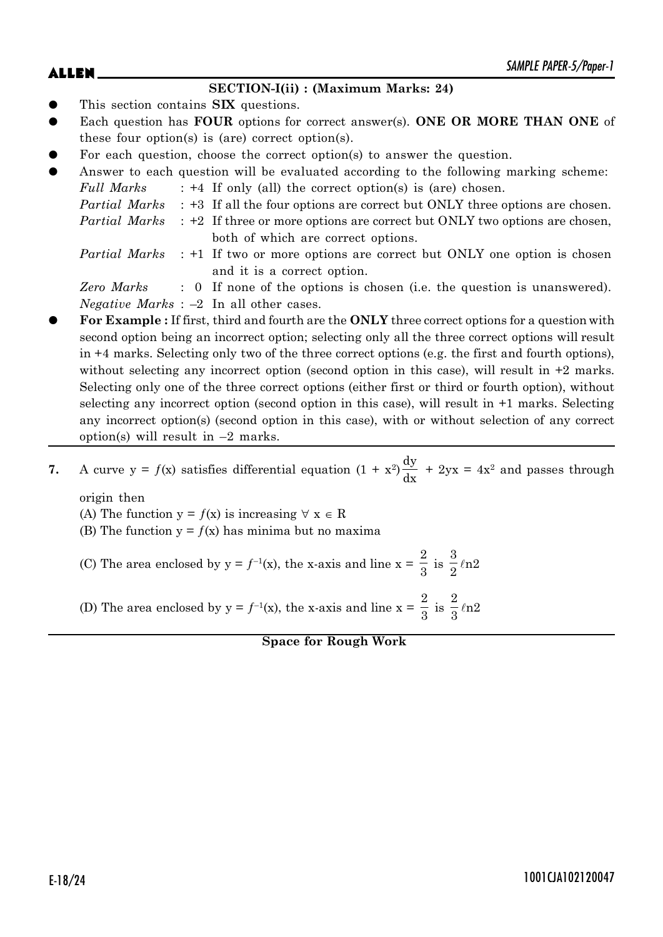### **SECTION-I(ii) : (Maximum Marks: 24)**

- This section contains **SIX** questions.
- Each question has **FOUR** options for correct answer(s). **ONE OR MORE THAN ONE** of these four option(s) is (are) correct option(s).
- For each question, choose the correct option(s) to answer the question.
- Answer to each question will be evaluated according to the following marking scheme: *Full Marks* : +4 If only (all) the correct option(s) is (are) chosen.

- *Partial Marks* : +2 If three or more options are correct but ONLY two options are chosen, both of which are correct options.
- *Partial Marks* : +1 If two or more options are correct but ONLY one option is chosen and it is a correct option.

*Zero Marks* : 0 If none of the options is chosen (i.e. the question is unanswered). *Negative Marks* : –2 In all other cases.

z **For Example :** If first, third and fourth are the **ONLY** three correct options for a question with second option being an incorrect option; selecting only all the three correct options will result in +4 marks. Selecting only two of the three correct options (e.g. the first and fourth options), without selecting any incorrect option (second option in this case), will result in  $+2$  marks. Selecting only one of the three correct options (either first or third or fourth option), without selecting any incorrect option (second option in this case), will result in +1 marks. Selecting any incorrect option(s) (second option in this case), with or without selection of any correct option(s) will result in  $-2$  marks.

**7.** A curve  $y = f(x)$  satisfies differential equation  $(1 + x^2)$ dy  $\frac{dy}{dx}$  + 2yx = 4x<sup>2</sup> and passes through

origin then (A) The function  $y = f(x)$  is increasing  $\forall x \in R$ 

- (B) The function  $y = f(x)$  has minima but no maxima
- (C) The area enclosed by  $y = f^{-1}(x)$ , the x-axis and line  $x =$ 2  $\frac{1}{3}$  is 3  $\frac{1}{2}$   $ln 2$

(D) The area enclosed by  $y = f^{-1}(x)$ , the x-axis and line  $x =$ 2  $\frac{1}{3}$  is 2  $\frac{1}{3}$  ln2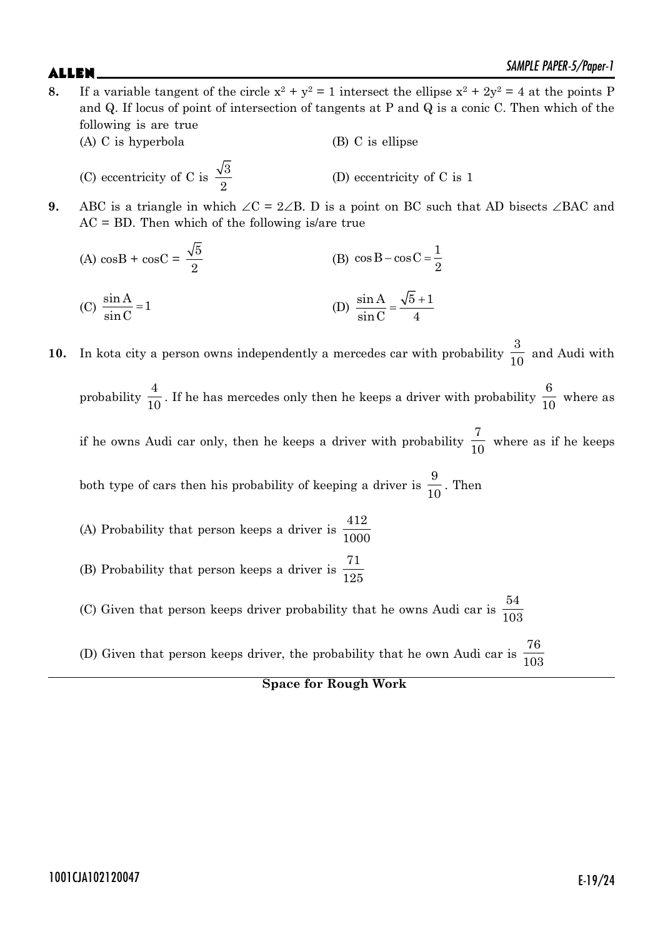- **8.** If a variable tangent of the circle  $x^2 + y^2 = 1$  intersect the ellipse  $x^2 + 2y^2 = 4$  at the points P and Q. If locus of point of intersection of tangents at P and Q is a conic C. Then which of the following is are true (A) C is hyperbola (B) C is ellipse
	- (C) eccentricity of C is  $\frac{\sqrt{3}}{2}$ 2 (D) eccentricity of C is 1
- **9.** ABC is a triangle in which  $\angle C = 2\angle B$ . D is a point on BC such that AD bisects  $\angle BAC$  and  $AC = BD$ . Then which of the following is/are true
	- (A)  $\cos B + \cos C = \frac{\sqrt{5}}{2}$ 2 (B)  $\cos B - \cos C = \frac{1}{2}$ 2 (C)  $\frac{\sin A}{\sin B} = 1$  $\frac{\sin A}{\sin C} = 1$  (D)  $\frac{\sin A}{\sin C} = \frac{\sqrt{5} + 1}{4}$  $\sin C$  4

**10.** In kota city a person owns independently a mercedes car with probability 3  $\frac{1}{10}$  and Audi with probability 4  $\frac{1}{10}$ . If he has mercedes only then he keeps a driver with probability 6  $\frac{0}{10}$  where as if he owns Audi car only, then he keeps a driver with probability 7  $\frac{1}{10}$  where as if he keeps both type of cars then his probability of keeping a driver is 9  $\frac{0}{10}$ . Then (A) Probability that person keeps a driver is 412 1000 (B) Probability that person keeps a driver is 71 125 (C) Given that person keeps driver probability that he owns Audi car is 54 103 (D) Given that person keeps driver, the probability that he own Audi car is 76 103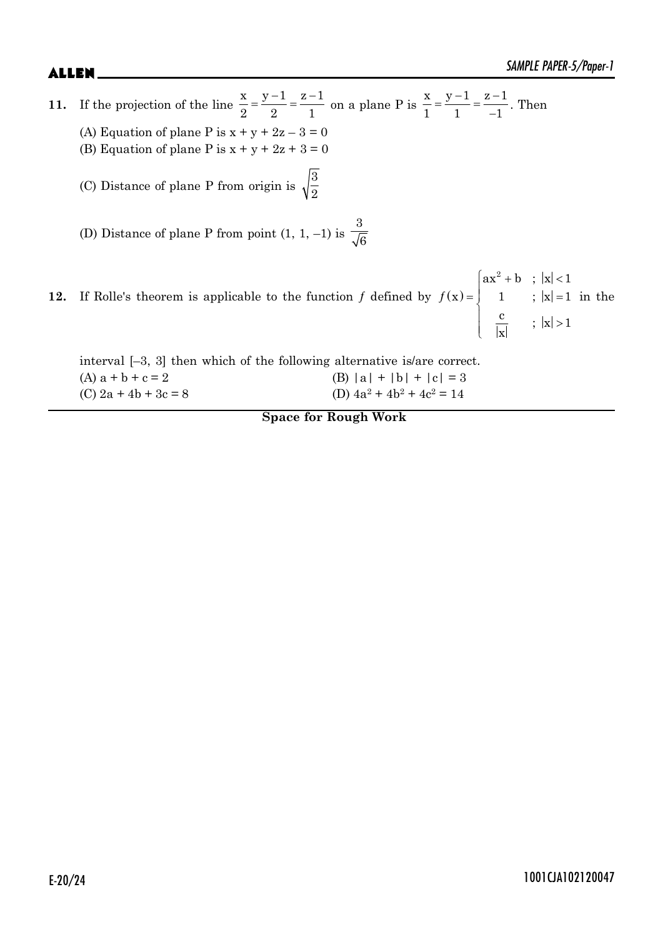x

**11.** If the projection of the line  $x \quad y-1 \quad z-1$ 22 1  $=\frac{y-1}{2}=\frac{z-1}{1}$  on a plane P is  $\frac{x}{1}=\frac{y-1}{1}=\frac{z-1}{1}$  $1 \t -1$   $-1$  $=\frac{y-1}{1}=\frac{z-1}{1}$  $\frac{1}{-1}$ . Then (A) Equation of plane P is  $x + y + 2z - 3 = 0$ (B) Equation of plane P is  $x + y + 2z + 3 = 0$ (C) Distance of plane P from origin is  $\sqrt{\frac{3}{2}}$ (D) Distance of plane P from point  $(1, 1, -1)$  is 3 6 **12.** If Rolle's theorem is applicable to the function f defined by  $f(x) = \begin{cases} ax^2 + b & ; |x| < 1 \\ 1 & ; |x| = 1 \end{cases}$  $\left| \frac{c}{|x|} \right|$  ;  $|x| >$  $ax^2 + b$  ;  $|x| < 1$  $f(x) = | 1 ; |x| = 1$  $\frac{c}{\sqrt{2}}$  ;  $|x| > 1$ in the

interval [–3, 3] then which of the following alternative is/are correct. (A)  $a + b + c = 2$  (B)  $|a| + |b| + |c| = 3$ (C)  $2a + 4b + 3c = 8$  $+4b^2+4c^2=14$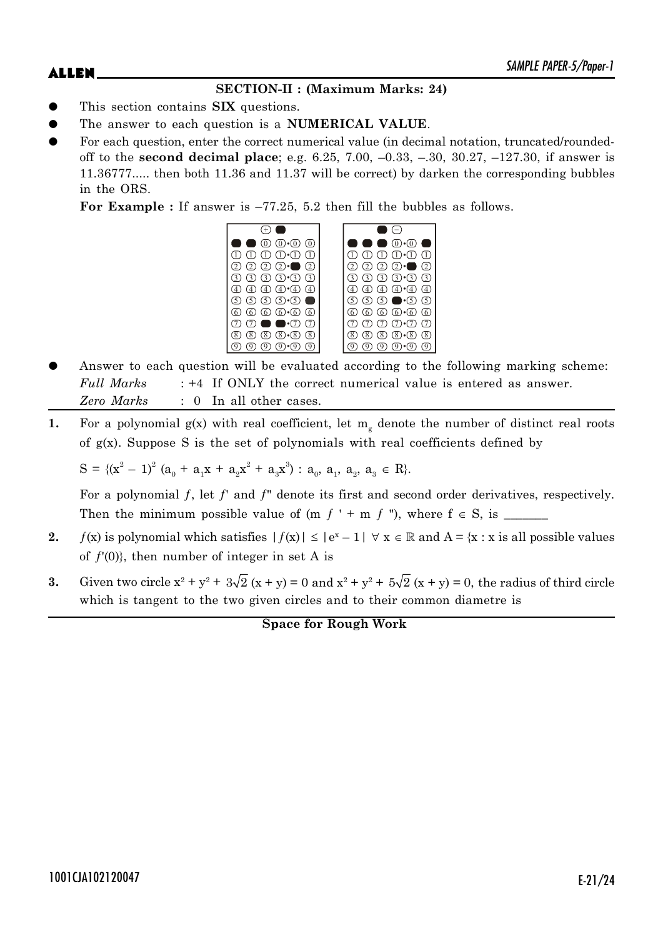# **SECTION-II : (Maximum Marks: 24)**

- This section contains **SIX** questions.
- The answer to each question is a **NUMERICAL VALUE**.
- For each question, enter the correct numerical value (in decimal notation, truncated/roundedoff to the **second decimal place**; e.g. 6.25, 7.00, –0.33, –.30, 30.27, –127.30, if answer is 11.36777..... then both 11.36 and 11.37 will be correct) by darken the corresponding bubbles in the ORS.

**For Example :** If answer is –77.25, 5.2 then fill the bubbles as follows.

|                                                                       | $($ $ )$                                                                                    |
|-----------------------------------------------------------------------|---------------------------------------------------------------------------------------------|
| $0 \text{ } 0 \text{ } 0$                                             | $\bullet$ (0). $\circ$                                                                      |
| $(D \n D \n D \n D \n D \n D$                                         | $\textcircled{\tiny{1}} \oplus \textcircled{\tiny{1}} \oplus \textcircled{\tiny{1}}$<br>(1) |
| $(2)$ $(2)$ $(2)$ $\bullet$ $(2)$                                     | $2)$ $2)$ $2 \cdot$ $2$                                                                     |
| $(3)$ $(3)$ $(3)$ $(3)$ $(3)$                                         | $(3)$ $(3)$ $(3)$ $(3)$<br>3)                                                               |
| $(4)$ $(4) \cdot (4)$<br>$\sqrt{4}$<br>(4)                            | $\mathcal{A}(\mathcal{A})\cdot\mathcal{A}$<br>$\circled{4}$                                 |
| $\circled{5}$ $\circled{5}$ $\circled{5}$ $\circled{5}$ $\circled{5}$ | $\circledcirc\circledcirc\bullet\cdot\circledcirc\circ$                                     |
| 60 60 60 60 60                                                        | 6 6 6 6 6 6<br>.6)                                                                          |
| $\blacksquare \bullet \bullet \bullet$<br>・アー<br>(7)                  | $(7)$ $(7) \cdot (7)$                                                                       |
| (8)<br>$(8) \cdot (8)$<br>(8)<br>8 <sup>1</sup>                       | $(8) \cdot (8)$<br>$\circledR$<br>(8)                                                       |
| $(9) \cdot (9)$<br>9                                                  | 0<br>$(9) \cdot (9)$                                                                        |

- Answer to each question will be evaluated according to the following marking scheme: *Full Marks* : +4 If ONLY the correct numerical value is entered as answer. *Zero Marks* : 0 In all other cases.
- **1.** For a polynomial  $g(x)$  with real coefficient, let  $m_g$  denote the number of distinct real roots of  $g(x)$ . Suppose S is the set of polynomials with real coefficients defined by

 $S = \{ (x^2 - 1)^2 (a_0 + a_1x + a_2x^2 + a_3x^3) : a_0, a_1, a_2, a_3 \in R \}.$ 

For a polynomial  $f$ , let  $f'$  and  $f''$  denote its first and second order derivatives, respectively. Then the minimum possible value of (m ƒ ' + m ƒ "), where f S, is \_\_\_\_\_\_\_

- **2.**  $f(x)$  is polynomial which satisfies  $|f(x)| \leq |e^x 1| \quad \forall x \in \mathbb{R}$  and  $A = \{x : x \text{ is all possible values }\}$ of  $f'(0)$ , then number of integer in set A is
- **3.** Given two circle  $x^2 + y^2 + 3\sqrt{2} (x + y) = 0$  and  $x^2 + y^2 + 5\sqrt{2} (x + y) = 0$ , the radius of third circle which is tangent to the two given circles and to their common diametre is

**Space for Rough Work**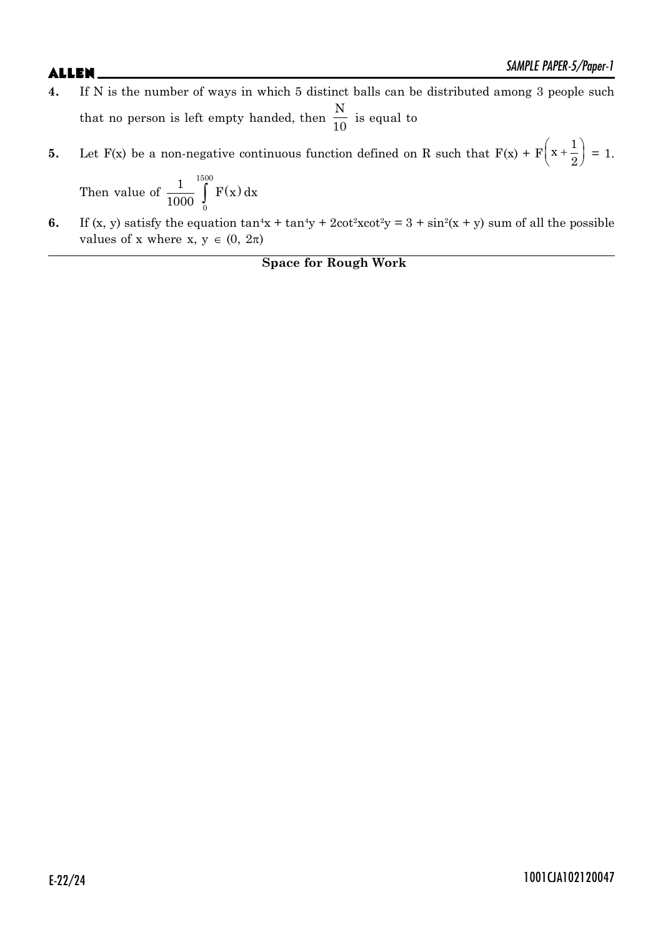- **4.** If N is the number of ways in which 5 distinct balls can be distributed among 3 people such that no person is left empty handed, then N  $\frac{1}{10}$  is equal to
- **5.** Let  $F(x)$  be a non-negative continuous function defined on R such that  $F(x) + F(x)$  $x + \frac{1}{2}$  $\left(x+\frac{1}{2}\right)=1.$

Then value of 
$$
\frac{1}{1000} \int_{0}^{1500} F(x) dx
$$

**6.** If (x, y) satisfy the equation  $\tan^4x + \tan^4y + 2\cot^2x \cot^2y = 3 + \sin^2(x + y)$  sum of all the possible values of x where x,  $y \in (0, 2\pi)$